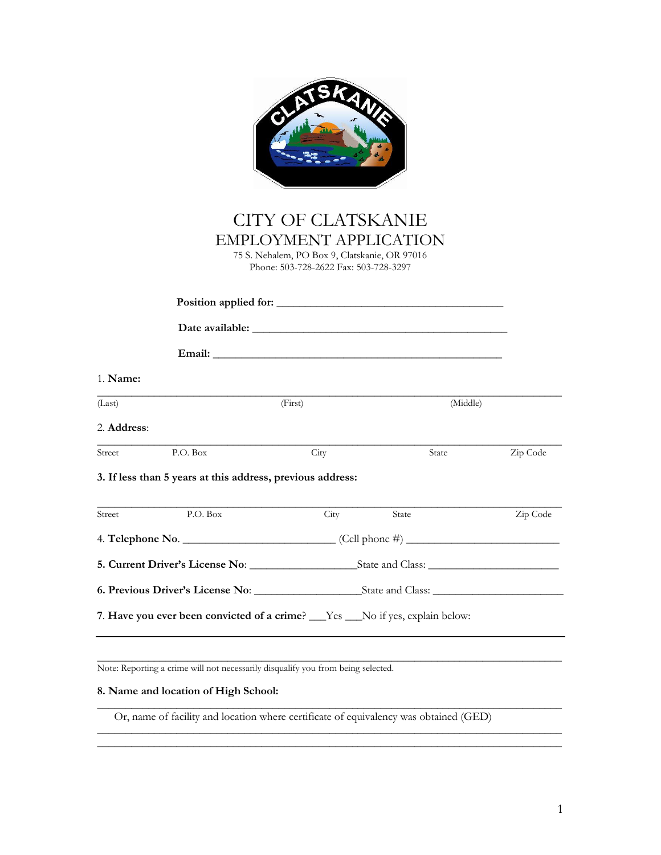|             |                                                                                  | <b>CITY OF CLATSKANIE</b><br><b>EMPLOYMENT APPLICATION</b><br>75 S. Nehalem, PO Box 9, Clatskanie, OR 97016<br>Phone: 503-728-2622 Fax: 503-728-3297 |          |          |  |
|-------------|----------------------------------------------------------------------------------|------------------------------------------------------------------------------------------------------------------------------------------------------|----------|----------|--|
|             |                                                                                  |                                                                                                                                                      |          |          |  |
|             |                                                                                  |                                                                                                                                                      |          |          |  |
|             |                                                                                  |                                                                                                                                                      |          |          |  |
| 1. Name:    |                                                                                  |                                                                                                                                                      |          |          |  |
| (Last)      |                                                                                  | (First)                                                                                                                                              | (Middle) |          |  |
| 2. Address: |                                                                                  |                                                                                                                                                      |          |          |  |
| Street      | P.O. Box                                                                         | City                                                                                                                                                 | State    | Zip Code |  |
|             | 3. If less than 5 years at this address, previous address:                       |                                                                                                                                                      |          |          |  |
| Street      | P.O. Box                                                                         | City                                                                                                                                                 | State    | Zip Code |  |
|             |                                                                                  |                                                                                                                                                      |          |          |  |
|             |                                                                                  |                                                                                                                                                      |          |          |  |
|             |                                                                                  |                                                                                                                                                      |          |          |  |
|             | 7. Have you ever been convicted of a crime? ___Yes ___No if yes, explain below:  |                                                                                                                                                      |          |          |  |
|             | Note: Reporting a crime will not necessarily disqualify you from being selected. |                                                                                                                                                      |          |          |  |

## **8. Name and location of High School:**

Or, name of facility and location where certificate of equivalency was obtained (GED)

\_\_\_\_\_\_\_\_\_\_\_\_\_\_\_\_\_\_\_\_\_\_\_\_\_\_\_\_\_\_\_\_\_\_\_\_\_\_\_\_\_\_\_\_\_\_\_\_\_\_\_\_\_\_\_\_\_\_\_\_\_\_\_\_\_\_\_\_\_\_\_\_\_\_\_\_\_\_\_\_\_\_

\_\_\_\_\_\_\_\_\_\_\_\_\_\_\_\_\_\_\_\_\_\_\_\_\_\_\_\_\_\_\_\_\_\_\_\_\_\_\_\_\_\_\_\_\_\_\_\_\_\_\_\_\_\_\_\_\_\_\_\_\_\_\_\_\_\_\_\_\_\_\_\_\_\_\_\_\_\_\_\_\_\_  $\overline{\phantom{a}}$  , and the contribution of the contribution of the contribution of the contribution of the contribution of the contribution of the contribution of the contribution of the contribution of the contribution of the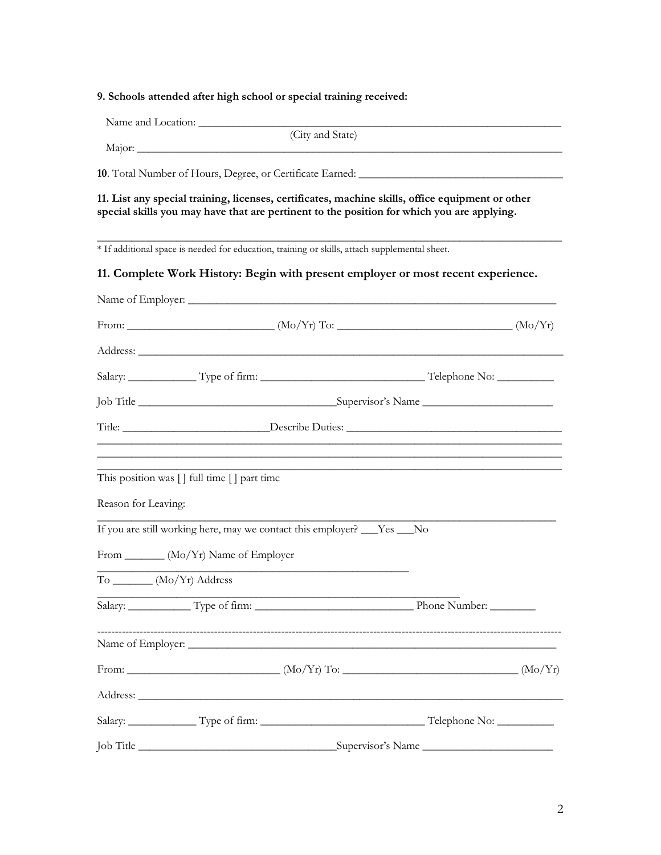## **9. Schools attended after high school or special training received:**

|                     | (City and State)                                                                                                                                                                                                                    |                                                                                                                                                                                                            |  |  |
|---------------------|-------------------------------------------------------------------------------------------------------------------------------------------------------------------------------------------------------------------------------------|------------------------------------------------------------------------------------------------------------------------------------------------------------------------------------------------------------|--|--|
|                     | 10. Total Number of Hours, Degree, or Certificate Earned: ______________________                                                                                                                                                    |                                                                                                                                                                                                            |  |  |
|                     | 11. List any special training, licenses, certificates, machine skills, office equipment or other<br>special skills you may have that are pertinent to the position for which you are applying.                                      |                                                                                                                                                                                                            |  |  |
|                     | * If additional space is needed for education, training or skills, attach supplemental sheet.                                                                                                                                       |                                                                                                                                                                                                            |  |  |
|                     | 11. Complete Work History: Begin with present employer or most recent experience.                                                                                                                                                   |                                                                                                                                                                                                            |  |  |
|                     |                                                                                                                                                                                                                                     |                                                                                                                                                                                                            |  |  |
|                     |                                                                                                                                                                                                                                     |                                                                                                                                                                                                            |  |  |
|                     |                                                                                                                                                                                                                                     |                                                                                                                                                                                                            |  |  |
|                     |                                                                                                                                                                                                                                     |                                                                                                                                                                                                            |  |  |
|                     |                                                                                                                                                                                                                                     |                                                                                                                                                                                                            |  |  |
|                     |                                                                                                                                                                                                                                     |                                                                                                                                                                                                            |  |  |
|                     |                                                                                                                                                                                                                                     | <u> 1989 - Johann Stoff, deutscher Stoff, der Stoff, der Stoff, der Stoff, der Stoff, der Stoff, der Stoff, der S</u><br>,我们也不能在这里的人,我们也不能在这里的人,我们也不能在这里的人,我们也不能在这里的人,我们也不能在这里的人,我们也不能在这里的人,我们也不能在这里的人,我们也 |  |  |
|                     | This position was [] full time [] part time                                                                                                                                                                                         |                                                                                                                                                                                                            |  |  |
| Reason for Leaving: |                                                                                                                                                                                                                                     |                                                                                                                                                                                                            |  |  |
|                     | If you are still working here, may we contact this employer? ___Yes ___No                                                                                                                                                           |                                                                                                                                                                                                            |  |  |
|                     | From _______ (Mo/Yr) Name of Employer                                                                                                                                                                                               |                                                                                                                                                                                                            |  |  |
|                     | $\begin{array}{c}\n\text{To} \quad \text{---} \quad (\text{Mo/Yr}) \quad \text{Address}\n\end{array}$                                                                                                                               |                                                                                                                                                                                                            |  |  |
|                     |                                                                                                                                                                                                                                     |                                                                                                                                                                                                            |  |  |
|                     |                                                                                                                                                                                                                                     |                                                                                                                                                                                                            |  |  |
|                     |                                                                                                                                                                                                                                     |                                                                                                                                                                                                            |  |  |
|                     |                                                                                                                                                                                                                                     |                                                                                                                                                                                                            |  |  |
|                     | Address: <u>Address:</u> Address: Address: Address: Address: Address: Address: Address: Address: Address: Address: Address: Address: Address: Address: Address: Address: Address: Address: Address: Address: Address: Address: Addr |                                                                                                                                                                                                            |  |  |
|                     |                                                                                                                                                                                                                                     |                                                                                                                                                                                                            |  |  |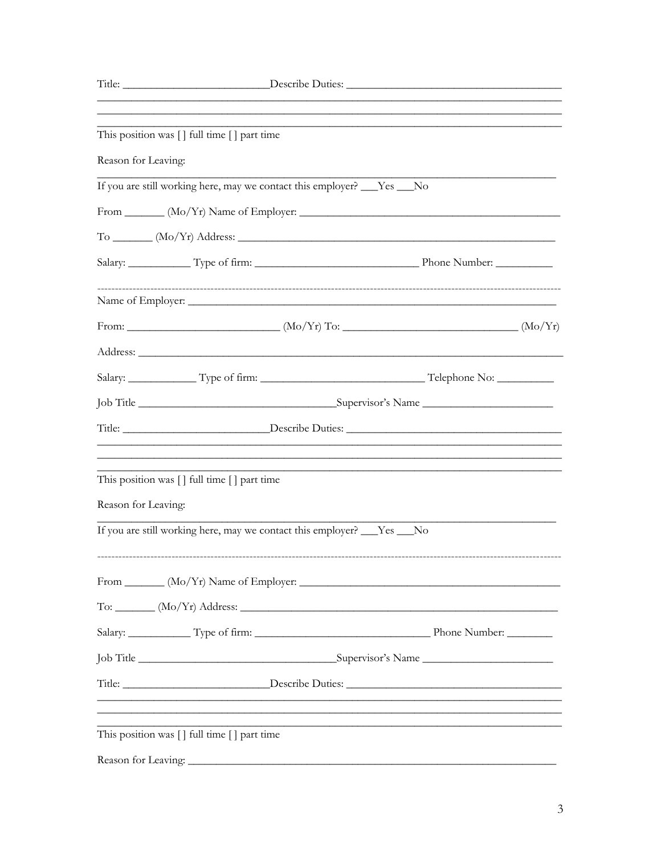|                     | This position was [] full time [] part time |                                                                                   |  |  |  |  |
|---------------------|---------------------------------------------|-----------------------------------------------------------------------------------|--|--|--|--|
| Reason for Leaving: |                                             |                                                                                   |  |  |  |  |
|                     |                                             | If you are still working here, may we contact this employer? ___Yes ___No         |  |  |  |  |
|                     |                                             |                                                                                   |  |  |  |  |
|                     |                                             | $To$ $(Mo/Yr)$ Address: $\frac{1}{1 + (Mo/Yr)}$                                   |  |  |  |  |
|                     |                                             |                                                                                   |  |  |  |  |
|                     |                                             |                                                                                   |  |  |  |  |
|                     |                                             |                                                                                   |  |  |  |  |
|                     |                                             |                                                                                   |  |  |  |  |
|                     |                                             |                                                                                   |  |  |  |  |
|                     |                                             |                                                                                   |  |  |  |  |
|                     |                                             |                                                                                   |  |  |  |  |
|                     | This position was [] full time [] part time |                                                                                   |  |  |  |  |
| Reason for Leaving: |                                             |                                                                                   |  |  |  |  |
|                     |                                             | If you are still working here, may we contact this employer? ___Yes ___No         |  |  |  |  |
|                     |                                             | From $(Mo/Yr)$ Name of Employer:                                                  |  |  |  |  |
|                     |                                             | $To: __________ (Mo/Yr) Address: __________ (No/Yr) Address.$                     |  |  |  |  |
|                     |                                             |                                                                                   |  |  |  |  |
|                     |                                             |                                                                                   |  |  |  |  |
|                     |                                             | Title: _________________________Describe Duties: ________________________________ |  |  |  |  |
|                     | This position was [] full time [] part time |                                                                                   |  |  |  |  |
|                     |                                             |                                                                                   |  |  |  |  |